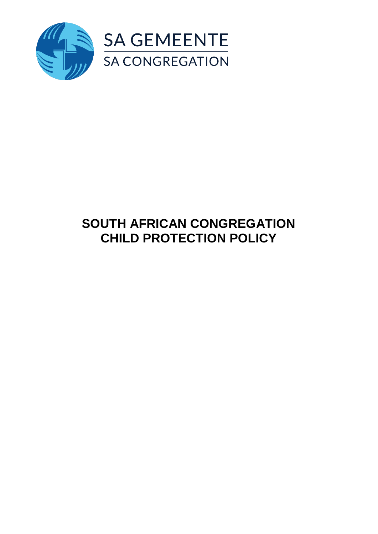

## **SOUTH AFRICAN CONGREGATION CHILD PROTECTION POLICY**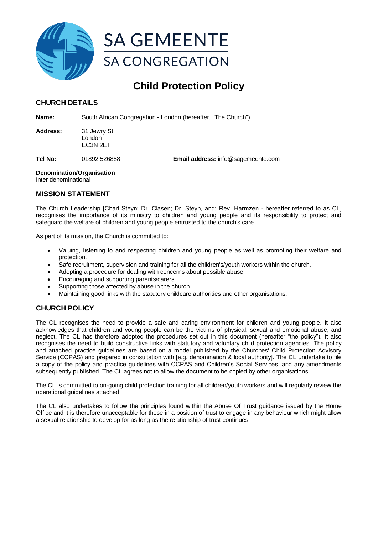

## **Child Protection Policy**

## **CHURCH DETAILS**

**Name:** South African Congregation - London (hereafter, "The Church")

**Address:** 31 Jewry St London EC3N 2ET

**Tel No:** 01892 526888 **Email address:** info@sagemeente.com

#### **Denomination/Organisation**

Inter denominational

## **MISSION STATEMENT**

The Church Leadership [Charl Steyn; Dr. Clasen; Dr. Steyn, and; Rev. Harmzen - hereafter referred to as CL] recognises the importance of its ministry to children and young people and its responsibility to protect and safeguard the welfare of children and young people entrusted to the church's care.

As part of its mission, the Church is committed to:

- Valuing, listening to and respecting children and young people as well as promoting their welfare and protection.
- Safe recruitment, supervision and training for all the children's/youth workers within the church.
- Adopting a procedure for dealing with concerns about possible abuse.
- Encouraging and supporting parents/carers.
- Supporting those affected by abuse in the church.
- Maintaining good links with the statutory childcare authorities and other organisations.

## **CHURCH POLICY**

The CL recognises the need to provide a safe and caring environment for children and young people. It also acknowledges that children and young people can be the victims of physical, sexual and emotional abuse, and neglect. The CL has therefore adopted the procedures set out in this document (hereafter "the policy"). It also recognises the need to build constructive links with statutory and voluntary child protection agencies. The policy and attached practice guidelines are based on a model published by the Churches' Child Protection Advisory Service (CCPAS) and prepared in consultation with [e.g. denomination & local authority]. The CL undertake to file a copy of the policy and practice guidelines with CCPAS and Children's Social Services, and any amendments subsequently published. The CL agrees not to allow the document to be copied by other organisations.

The CL is committed to on-going child protection training for all children/youth workers and will regularly review the operational guidelines attached.

The CL also undertakes to follow the principles found within the Abuse Of Trust guidance issued by the Home Office and it is therefore unacceptable for those in a position of trust to engage in any behaviour which might allow a sexual relationship to develop for as long as the relationship of trust continues.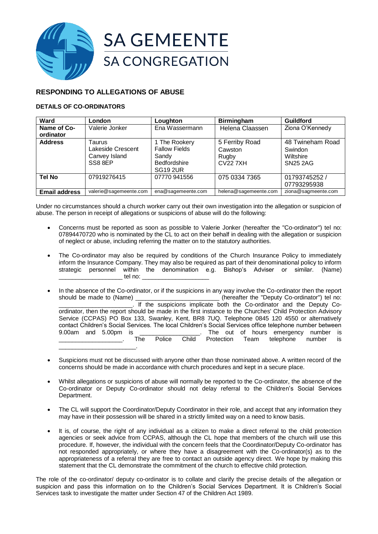

## **RESPONDING TO ALLEGATIONS OF ABUSE**

## **DETAILS OF CO-ORDINATORS**

| Ward                     | London                                                  | Loughton                                                                                 | <b>Birmingham</b>                                    | <b>Guildford</b>                                            |
|--------------------------|---------------------------------------------------------|------------------------------------------------------------------------------------------|------------------------------------------------------|-------------------------------------------------------------|
| Name of Co-<br>ordinator | Valerie Jonker                                          | Ena Wassermann                                                                           | Helena Claassen                                      | Ziona O'Kennedy                                             |
| <b>Address</b>           | Taurus<br>Lakeside Crescent<br>Canvey Island<br>SS8 8EP | 1 The Rookery<br><b>Fallow Fields</b><br>Sandy<br><b>Bedfordshire</b><br><b>SG19 2UR</b> | 5 Ferriby Road<br>Cawston<br>Rugby<br><b>CV227XH</b> | 48 Twineham Road<br>Swindon<br>Wiltshire<br><b>SN25 2AG</b> |
| <b>Tel No</b>            | 07919276415                                             | 07770 941556                                                                             | 075 0334 7365                                        | 01793745252 /<br>07793295938                                |
| <b>Email address</b>     | valerie@sagemeente.com                                  | ena@sagemeente.com                                                                       | helena@sagemeente.com                                | ziona@sagmeente.com                                         |

Under no circumstances should a church worker carry out their own investigation into the allegation or suspicion of abuse. The person in receipt of allegations or suspicions of abuse will do the following:

- Concerns must be reported as soon as possible to Valerie Jonker (hereafter the "Co-ordinator") tel no: 07894470720 who is nominated by the CL to act on their behalf in dealing with the allegation or suspicion of neglect or abuse, including referring the matter on to the statutory authorities.
- The Co-ordinator may also be required by conditions of the Church Insurance Policy to immediately inform the Insurance Company. They may also be required as part of their denominational policy to inform strategic personnel within the denomination e.g. Bishop's Adviser or similar. (Name)  $_$  tel no:
- In the absence of the Co-ordinator, or if the suspicions in any way involve the Co-ordinator then the report should be made to (Name) [ (hereafter the "Deputy Co-ordinator") tel no: (hereafter the "Deputy Co-ordinator") tel no: If the suspicions implicate both the Co-ordinator and the Deputy Coordinator, then the report should be made in the first instance to the Churches' Child Protection Advisory Service (CCPAS) PO Box 133, Swanley, Kent, BR8 7UQ. Telephone 0845 120 4550 or alternatively contact Children's Social Services. The local Children's Social Services office telephone number between 9.00am and 5.00pm is \_\_\_\_\_\_\_\_\_\_\_\_\_\_\_\_\_\_\_\_. The out of hours emergency number is <br>The Police Child Protection Team telephone number is \_\_\_\_\_\_\_\_\_\_\_\_\_\_\_\_\_\_\_. The Police Child Protection Team telephone number is \_\_\_\_\_\_\_\_\_\_\_\_\_\_\_\_\_\_\_\_\_\_\_.
- Suspicions must not be discussed with anyone other than those nominated above. A written record of the concerns should be made in accordance with church procedures and kept in a secure place.
- Whilst allegations or suspicions of abuse will normally be reported to the Co-ordinator, the absence of the Co-ordinator or Deputy Co-ordinator should not delay referral to the Children's Social Services Department.
- The CL will support the Coordinator/Deputy Coordinator in their role, and accept that any information they may have in their possession will be shared in a strictly limited way on a need to know basis.
- It is, of course, the right of any individual as a citizen to make a direct referral to the child protection agencies or seek advice from CCPAS, although the CL hope that members of the church will use this procedure. If, however, the individual with the concern feels that the Coordinator/Deputy Co-ordinator has not responded appropriately, or where they have a disagreement with the Co-ordinator(s) as to the appropriateness of a referral they are free to contact an outside agency direct. We hope by making this statement that the CL demonstrate the commitment of the church to effective child protection.

The role of the co-ordinator/ deputy co-ordinator is to collate and clarify the precise details of the allegation or suspicion and pass this information on to the Children's Social Services Department. It is Children's Social Services task to investigate the matter under Section 47 of the Children Act 1989.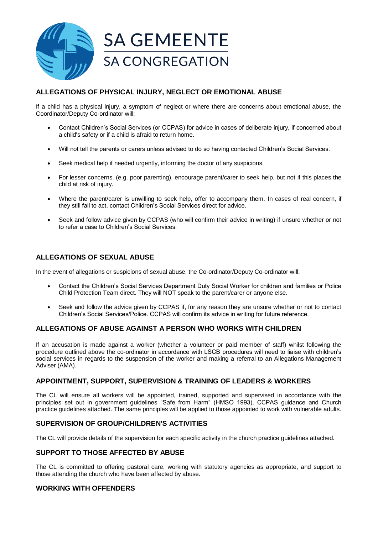

## **ALLEGATIONS OF PHYSICAL INJURY, NEGLECT OR EMOTIONAL ABUSE**

If a child has a physical injury, a symptom of neglect or where there are concerns about emotional abuse, the Coordinator/Deputy Co-ordinator will:

- Contact Children's Social Services (or CCPAS) for advice in cases of deliberate injury, if concerned about a child's safety or if a child is afraid to return home.
- Will not tell the parents or carers unless advised to do so having contacted Children's Social Services.
- Seek medical help if needed urgently, informing the doctor of any suspicions.
- For lesser concerns, (e.g. poor parenting), encourage parent/carer to seek help, but not if this places the child at risk of injury.
- Where the parent/carer is unwilling to seek help, offer to accompany them. In cases of real concern, if they still fail to act, contact Children's Social Services direct for advice.
- Seek and follow advice given by CCPAS (who will confirm their advice in writing) if unsure whether or not to refer a case to Children's Social Services.

## **ALLEGATIONS OF SEXUAL ABUSE**

In the event of allegations or suspicions of sexual abuse, the Co-ordinator/Deputy Co-ordinator will:

- Contact the Children's Social Services Department Duty Social Worker for children and families or Police Child Protection Team direct. They will NOT speak to the parent/carer or anyone else.
- Seek and follow the advice given by CCPAS if, for any reason they are unsure whether or not to contact Children's Social Services/Police. CCPAS will confirm its advice in writing for future reference.

## **ALLEGATIONS OF ABUSE AGAINST A PERSON WHO WORKS WITH CHILDREN**

If an accusation is made against a worker (whether a volunteer or paid member of staff) whilst following the procedure outlined above the co-ordinator in accordance with LSCB procedures will need to liaise with children's social services in regards to the suspension of the worker and making a referral to an Allegations Management Adviser (AMA).

## **APPOINTMENT, SUPPORT, SUPERVISION & TRAINING OF LEADERS & WORKERS**

The CL will ensure all workers will be appointed, trained, supported and supervised in accordance with the principles set out in government guidelines "Safe from Harm" (HMSO 1993), CCPAS guidance and Church practice guidelines attached. The same principles will be applied to those appointed to work with vulnerable adults.

## **SUPERVISION OF GROUP/CHILDREN'S ACTIVITIES**

The CL will provide details of the supervision for each specific activity in the church practice guidelines attached.

## **SUPPORT TO THOSE AFFECTED BY ABUSE**

The CL is committed to offering pastoral care, working with statutory agencies as appropriate, and support to those attending the church who have been affected by abuse.

## **WORKING WITH OFFENDERS**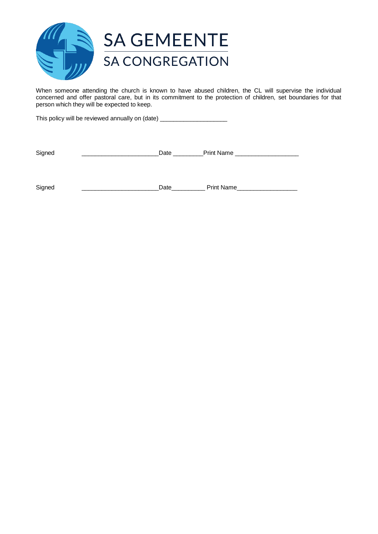

When someone attending the church is known to have abused children, the CL will supervise the individual concerned and offer pastoral care, but in its commitment to the protection of children, set boundaries for that person which they will be expected to keep.

This policy will be reviewed annually on (date) \_\_\_\_\_\_\_\_\_\_\_\_\_\_\_\_\_\_\_\_\_\_\_\_\_\_\_\_\_\_\_\_

| $\sim$<br>Siane <sup>r</sup><br>- - - | - |  |  |
|---------------------------------------|---|--|--|
|---------------------------------------|---|--|--|

Signed \_\_\_\_\_\_\_\_\_\_\_\_\_\_\_\_\_\_\_\_\_\_\_Date\_\_\_\_\_\_\_\_\_\_ Print Name\_\_\_\_\_\_\_\_\_\_\_\_\_\_\_\_\_\_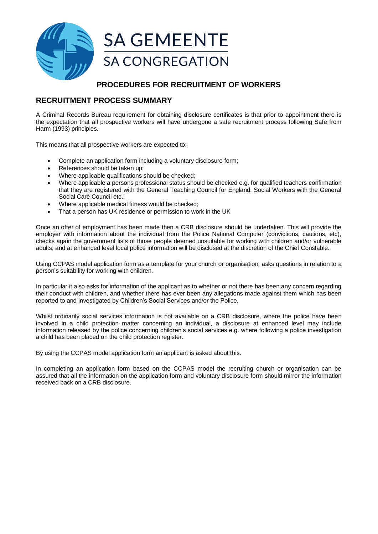

## **PROCEDURES FOR RECRUITMENT OF WORKERS**

## **RECRUITMENT PROCESS SUMMARY**

A Criminal Records Bureau requirement for obtaining disclosure certificates is that prior to appointment there is the expectation that all prospective workers will have undergone a safe recruitment process following Safe from Harm (1993) principles.

This means that all prospective workers are expected to:

- Complete an application form including a voluntary disclosure form;
- References should be taken up;
- Where applicable qualifications should be checked;
- Where applicable a persons professional status should be checked e.g. for qualified teachers confirmation that they are registered with the General Teaching Council for England, Social Workers with the General Social Care Council etc.;
- Where applicable medical fitness would be checked;
- That a person has UK residence or permission to work in the UK

Once an offer of employment has been made then a CRB disclosure should be undertaken. This will provide the employer with information about the individual from the Police National Computer (convictions, cautions, etc), checks again the government lists of those people deemed unsuitable for working with children and/or vulnerable adults, and at enhanced level local police information will be disclosed at the discretion of the Chief Constable.

Using CCPAS model application form as a template for your church or organisation, asks questions in relation to a person's suitability for working with children.

In particular it also asks for information of the applicant as to whether or not there has been any concern regarding their conduct with children, and whether there has ever been any allegations made against them which has been reported to and investigated by Children's Social Services and/or the Police.

Whilst ordinarily social services information is not available on a CRB disclosure, where the police have been involved in a child protection matter concerning an individual, a disclosure at enhanced level may include information released by the police concerning children's social services e.g. where following a police investigation a child has been placed on the child protection register.

By using the CCPAS model application form an applicant is asked about this.

In completing an application form based on the CCPAS model the recruiting church or organisation can be assured that all the information on the application form and voluntary disclosure form should mirror the information received back on a CRB disclosure.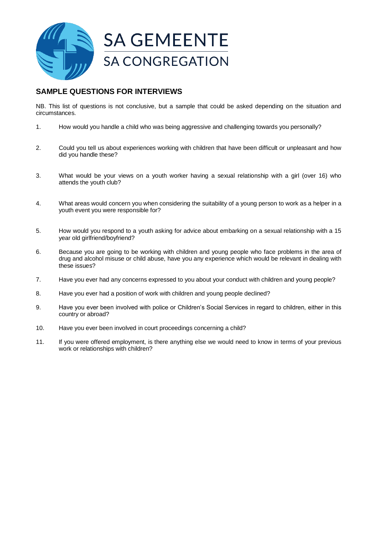

## **SAMPLE QUESTIONS FOR INTERVIEWS**

NB. This list of questions is not conclusive, but a sample that could be asked depending on the situation and circumstances.

- 1. How would you handle a child who was being aggressive and challenging towards you personally?
- 2. Could you tell us about experiences working with children that have been difficult or unpleasant and how did you handle these?
- 3. What would be your views on a youth worker having a sexual relationship with a girl (over 16) who attends the youth club?
- 4. What areas would concern you when considering the suitability of a young person to work as a helper in a youth event you were responsible for?
- 5. How would you respond to a youth asking for advice about embarking on a sexual relationship with a 15 year old girlfriend/boyfriend?
- 6. Because you are going to be working with children and young people who face problems in the area of drug and alcohol misuse or child abuse, have you any experience which would be relevant in dealing with these issues?
- 7. Have you ever had any concerns expressed to you about your conduct with children and young people?
- 8. Have you ever had a position of work with children and young people declined?
- 9. Have you ever been involved with police or Children's Social Services in regard to children, either in this country or abroad?
- 10. Have you ever been involved in court proceedings concerning a child?
- 11. If you were offered employment, is there anything else we would need to know in terms of your previous work or relationships with children?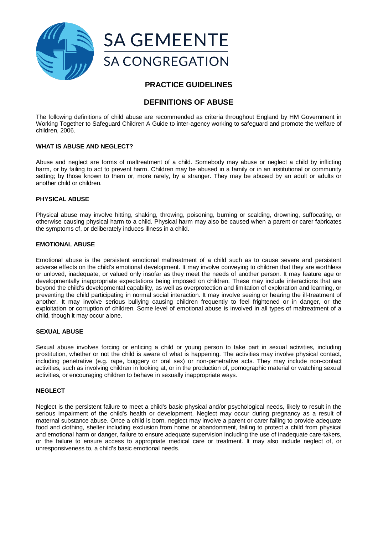

## **PRACTICE GUIDELINES**

## **DEFINITIONS OF ABUSE**

The following definitions of child abuse are recommended as criteria throughout England by HM Government in Working Together to Safeguard Children A Guide to inter-agency working to safeguard and promote the welfare of children, 2006.

#### **WHAT IS ABUSE AND NEGLECT?**

Abuse and neglect are forms of maltreatment of a child. Somebody may abuse or neglect a child by inflicting harm, or by failing to act to prevent harm. Children may be abused in a family or in an institutional or community setting; by those known to them or, more rarely, by a stranger. They may be abused by an adult or adults or another child or children.

#### **PHYSICAL ABUSE**

Physical abuse may involve hitting, shaking, throwing, poisoning, burning or scalding, drowning, suffocating, or otherwise causing physical harm to a child. Physical harm may also be caused when a parent or carer fabricates the symptoms of, or deliberately induces illness in a child.

#### **EMOTIONAL ABUSE**

Emotional abuse is the persistent emotional maltreatment of a child such as to cause severe and persistent adverse effects on the child's emotional development. It may involve conveying to children that they are worthless or unloved, inadequate, or valued only insofar as they meet the needs of another person. It may feature age or developmentally inappropriate expectations being imposed on children. These may include interactions that are beyond the child's developmental capability, as well as overprotection and limitation of exploration and learning, or preventing the child participating in normal social interaction. It may involve seeing or hearing the ill-treatment of another. It may involve serious bullying causing children frequently to feel frightened or in danger, or the exploitation or corruption of children. Some level of emotional abuse is involved in all types of maltreatment of a child, though it may occur alone.

#### **SEXUAL ABUSE**

Sexual abuse involves forcing or enticing a child or young person to take part in sexual activities, including prostitution, whether or not the child is aware of what is happening. The activities may involve physical contact, including penetrative (e.g. rape, buggery or oral sex) or non-penetrative acts. They may include non-contact activities, such as involving children in looking at, or in the production of, pornographic material or watching sexual activities, or encouraging children to behave in sexually inappropriate ways.

#### **NEGLECT**

Neglect is the persistent failure to meet a child's basic physical and/or psychological needs, likely to result in the serious impairment of the child's health or development. Neglect may occur during pregnancy as a result of maternal substance abuse. Once a child is born, neglect may involve a parent or carer failing to provide adequate food and clothing, shelter including exclusion from home or abandonment, failing to protect a child from physical and emotional harm or danger, failure to ensure adequate supervision including the use of inadequate care-takers, or the failure to ensure access to appropriate medical care or treatment. It may also include neglect of, or unresponsiveness to, a child's basic emotional needs.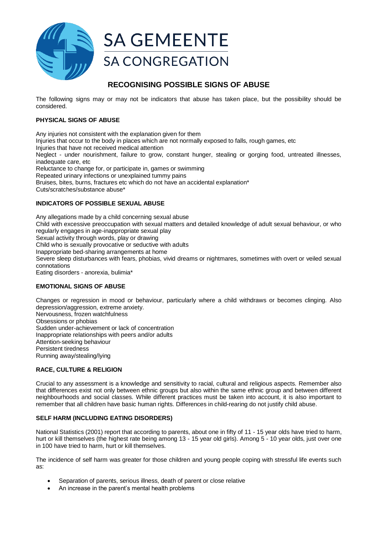

## **RECOGNISING POSSIBLE SIGNS OF ABUSE**

The following signs may or may not be indicators that abuse has taken place, but the possibility should be considered.

#### **PHYSICAL SIGNS OF ABUSE**

Any injuries not consistent with the explanation given for them Injuries that occur to the body in places which are not normally exposed to falls, rough games, etc Injuries that have not received medical attention Neglect - under nourishment, failure to grow, constant hunger, stealing or gorging food, untreated illnesses, inadequate care, etc Reluctance to change for, or participate in, games or swimming Repeated urinary infections or unexplained tummy pains Bruises, bites, burns, fractures etc which do not have an accidental explanation\* Cuts/scratches/substance abuse\*

#### **INDICATORS OF POSSIBLE SEXUAL ABUSE**

Any allegations made by a child concerning sexual abuse Child with excessive preoccupation with sexual matters and detailed knowledge of adult sexual behaviour, or who regularly engages in age-inappropriate sexual play Sexual activity through words, play or drawing Child who is sexually provocative or seductive with adults Inappropriate bed-sharing arrangements at home Severe sleep disturbances with fears, phobias, vivid dreams or nightmares, sometimes with overt or veiled sexual connotations Eating disorders - anorexia, bulimia\*

#### **EMOTIONAL SIGNS OF ABUSE**

Changes or regression in mood or behaviour, particularly where a child withdraws or becomes clinging. Also depression/aggression, extreme anxiety. Nervousness, frozen watchfulness Obsessions or phobias Sudden under-achievement or lack of concentration Inappropriate relationships with peers and/or adults Attention-seeking behaviour Persistent tiredness Running away/stealing/lying

#### **RACE, CULTURE & RELIGION**

Crucial to any assessment is a knowledge and sensitivity to racial, cultural and religious aspects. Remember also that differences exist not only between ethnic groups but also within the same ethnic group and between different neighbourhoods and social classes. While different practices must be taken into account, it is also important to remember that all children have basic human rights. Differences in child-rearing do not justify child abuse.

#### **SELF HARM (INCLUDING EATING DISORDERS)**

National Statistics (2001) report that according to parents, about one in fifty of 11 - 15 year olds have tried to harm, hurt or kill themselves (the highest rate being among 13 - 15 year old girls). Among 5 - 10 year olds, just over one in 100 have tried to harm, hurt or kill themselves.

The incidence of self harm was greater for those children and young people coping with stressful life events such as:

- Separation of parents, serious illness, death of parent or close relative
- An increase in the parent's mental health problems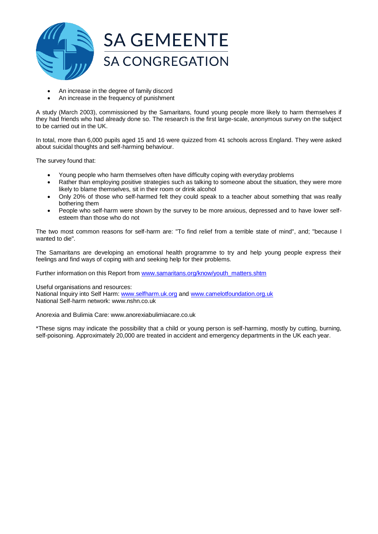

- An increase in the degree of family discord
- An increase in the frequency of punishment

A study (March 2003), commissioned by the Samaritans, found young people more likely to harm themselves if they had friends who had already done so. The research is the first large-scale, anonymous survey on the subject to be carried out in the UK.

In total, more than 6,000 pupils aged 15 and 16 were quizzed from 41 schools across England. They were asked about suicidal thoughts and self-harming behaviour.

The survey found that:

- Young people who harm themselves often have difficulty coping with everyday problems
- Rather than employing positive strategies such as talking to someone about the situation, they were more likely to blame themselves, sit in their room or drink alcohol
- Only 20% of those who self-harmed felt they could speak to a teacher about something that was really bothering them
- People who self-harm were shown by the survey to be more anxious, depressed and to have lower selfesteem than those who do not

The two most common reasons for self-harm are: "To find relief from a terrible state of mind", and; "because I wanted to die".

The Samaritans are developing an emotional health programme to try and help young people express their feelings and find ways of coping with and seeking help for their problems.

Further information on this Report from [www.samaritans.org/know/youth\\_matters.shtm](http://www.samaritans.org/know/youth_matters.shtm)

Useful organisations and resources:

National Inquiry into Self Harm: [www.selfharm.uk.org](http://www.selfharm.uk.org/) and [www.camelotfoundation.org.uk](http://www.camelotfoundation.org.uk/) National Self-harm network: www.nshn.co.uk

Anorexia and Bulimia Care: www.anorexiabulimiacare.co.uk

\*These signs may indicate the possibility that a child or young person is self-harming, mostly by cutting, burning, self-poisoning. Approximately 20,000 are treated in accident and emergency departments in the UK each year.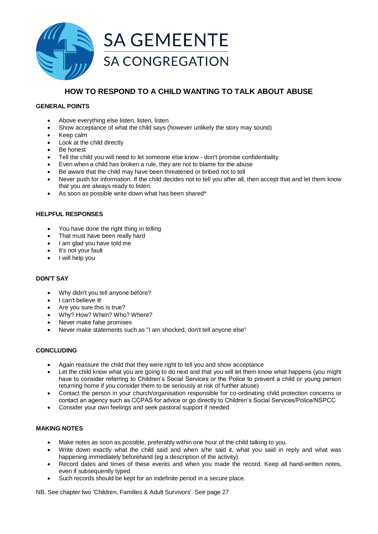

## **HOW TO RESPOND TO A CHILD WANTING TO TALK ABOUT ABUSE**

#### **GENERAL POINTS**

- Above everything else listen, listen, listen
- Show acceptance of what the child says (however unlikely the story may sound)
- Keep calm
- Look at the child directly
- Be honest
- Tell the child you will need to let someone else know don't promise confidentiality
- Even when a child has broken a rule, they are not to blame for the abuse
- Be aware that the child may have been threatened or bribed not to tell
- Never push for information. If the child decides not to tell you after all, then accept that and let them know that you are always ready to listen.
- As soon as possible write down what has been shared\*

#### **HELPFUL RESPONSES**

- You have done the right thing in telling
- That must have been really hard
- I am glad you have told me
- It's not your fault
- I will help you

#### **DON'T SAY**

- Why didn't you tell anyone before?
- I can't believe it!
- Are you sure this is true?
- Why? How? When? Who? Where?
- Never make false promises
- Never make statements such as "I am shocked, don't tell anyone else"

## **CONCLUDING**

- Again reassure the child that they were right to tell you and show acceptance
- Let the child know what you are going to do next and that you will let them know what happens (you might have to consider referring to Children's Social Services or the Police to prevent a child or young person returning home if you consider them to be seriously at risk of further abuse)
- Contact the person in your church/organisation responsible for co-ordinating child protection concerns or contact an agency such as CCPAS for advice or go directly to Children's Social Services/Police/NSPCC
- Consider your own feelings and seek pastoral support if needed

#### **MAKING NOTES**

- Make notes as soon as possible, preferably within one hour of the child talking to you.
- Write down exactly what the child said and when s/he said it, what you said in reply and what was happening immediately beforehand (eg a description of the activity).
- Record dates and times of these events and when you made the record. Keep all hand-written notes, even if subsequently typed.
- Such records should be kept for an indefinite period in a secure place.

NB. See chapter two 'Children, Families & Adult Survivors'. See page 27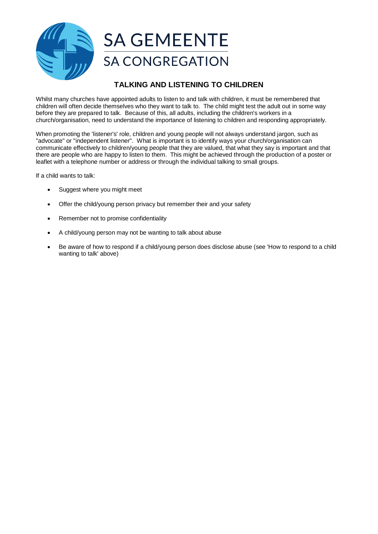

## **TALKING AND LISTENING TO CHILDREN**

Whilst many churches have appointed adults to listen to and talk with children, it must be remembered that children will often decide themselves who they want to talk to. The child might test the adult out in some way before they are prepared to talk. Because of this, all adults, including the children's workers in a church/organisation, need to understand the importance of listening to children and responding appropriately.

When promoting the 'listener's' role, children and young people will not always understand jargon, such as "advocate" or "independent listener". What is important is to identify ways your church/organisation can communicate effectively to children/young people that they are valued, that what they say is important and that there are people who are happy to listen to them. This might be achieved through the production of a poster or leaflet with a telephone number or address or through the individual talking to small groups.

If a child wants to talk:

- Suggest where you might meet
- Offer the child/young person privacy but remember their and your safety
- Remember not to promise confidentiality
- A child/young person may not be wanting to talk about abuse
- Be aware of how to respond if a child/young person does disclose abuse (see 'How to respond to a child wanting to talk' above)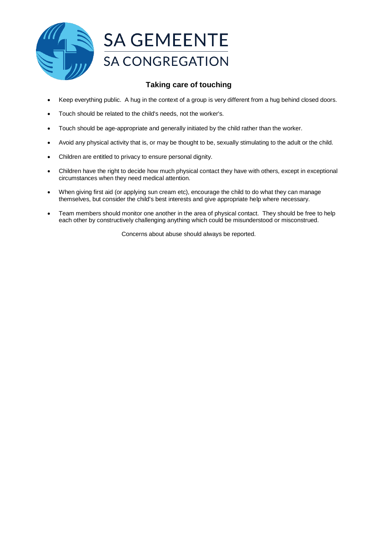

## **Taking care of touching**

- Keep everything public. A hug in the context of a group is very different from a hug behind closed doors.
- Touch should be related to the child's needs, not the worker's.
- Touch should be age-appropriate and generally initiated by the child rather than the worker.
- Avoid any physical activity that is, or may be thought to be, sexually stimulating to the adult or the child.
- Children are entitled to privacy to ensure personal dignity.
- Children have the right to decide how much physical contact they have with others, except in exceptional circumstances when they need medical attention.
- When giving first aid (or applying sun cream etc), encourage the child to do what they can manage themselves, but consider the child's best interests and give appropriate help where necessary.
- Team members should monitor one another in the area of physical contact. They should be free to help each other by constructively challenging anything which could be misunderstood or misconstrued.

Concerns about abuse should always be reported.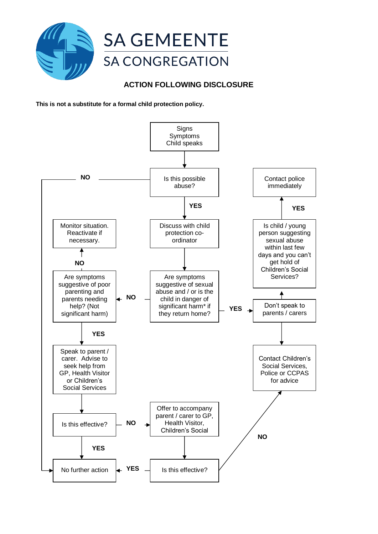

## **ACTION FOLLOWING DISCLOSURE**

**This is not a substitute for a formal child protection policy.**

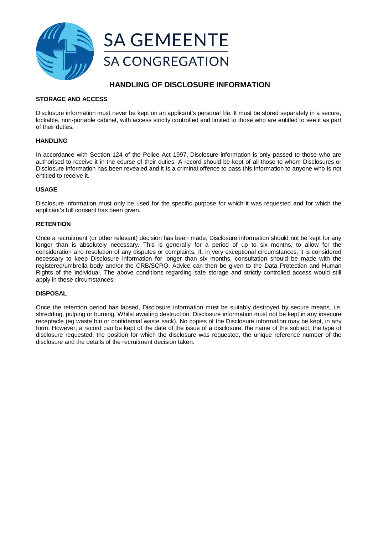

## **HANDLING OF DISCLOSURE INFORMATION**

#### **STORAGE AND ACCESS**

Disclosure information must never be kept on an applicant's personal file. It must be stored separately in a secure, lockable, non-portable cabinet, with access strictly controlled and limited to those who are entitled to see it as part of their duties.

#### **HANDLING**

In accordance with Section 124 of the Police Act 1997, Disclosure information is only passed to those who are authorised to receive it in the course of their duties. A record should be kept of all those to whom Disclosures or Disclosure information has been revealed and it is a criminal offence to pass this information to anyone who is not entitled to receive it.

#### **USAGE**

Disclosure information must only be used for the specific purpose for which it was requested and for which the applicant's full consent has been given.

#### **RETENTION**

Once a recruitment (or other relevant) decision has been made, Disclosure information should not be kept for any longer than is absolutely necessary. This is generally for a period of up to six months, to allow for the consideration and resolution of any disputes or complaints. If, in very exceptional circumstances, it is considered necessary to keep Disclosure information for longer than six months, consultation should be made with the registered/umbrella body and/or the CRB/SCRO. Advice can then be given to the Data Protection and Human Rights of the individual. The above conditions regarding safe storage and strictly controlled access would still apply in these circumstances.

#### **DISPOSAL**

Once the retention period has lapsed, Disclosure information must be suitably destroyed by secure means, i.e. shredding, pulping or burning. Whilst awaiting destruction, Disclosure information must not be kept in any insecure receptacle (eg waste bin or confidential waste sack). No copies of the Disclosure information may be kept, in any form. However, a record can be kept of the date of the issue of a disclosure, the name of the subject, the type of disclosure requested, the position for which the disclosure was requested, the unique reference number of the disclosure and the details of the recruitment decision taken.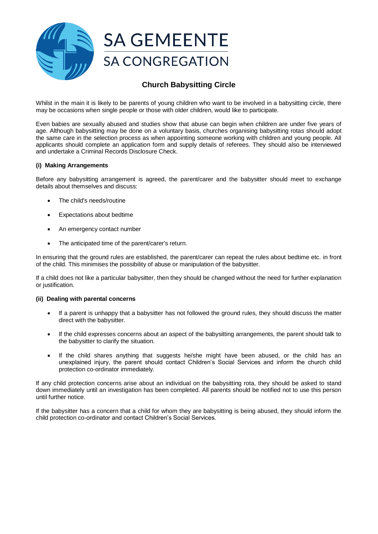

## **Church Babysitting Circle**

Whilst in the main it is likely to be parents of young children who want to be involved in a babysitting circle, there may be occasions when single people or those with older children, would like to participate.

Even babies are sexually abused and studies show that abuse can begin when children are under five years of age. Although babysitting may be done on a voluntary basis, churches organising babysitting rotas should adopt the same care in the selection process as when appointing someone working with children and young people. All applicants should complete an application form and supply details of referees. They should also be interviewed and undertake a Criminal Records Disclosure Check.

#### **(i) Making Arrangements**

Before any babysitting arrangement is agreed, the parent/carer and the babysitter should meet to exchange details about themselves and discuss:

- The child's needs/routine
- Expectations about bedtime
- An emergency contact number
- The anticipated time of the parent/carer's return.

In ensuring that the ground rules are established, the parent/carer can repeat the rules about bedtime etc. in front of the child. This minimises the possibility of abuse or manipulation of the babysitter.

If a child does not like a particular babysitter, then they should be changed without the need for further explanation or justification.

#### **(ii) Dealing with parental concerns**

- If a parent is unhappy that a babysitter has not followed the ground rules, they should discuss the matter direct with the babysitter.
- If the child expresses concerns about an aspect of the babysitting arrangements, the parent should talk to the babysitter to clarify the situation.
- If the child shares anything that suggests he/she might have been abused, or the child has an unexplained injury, the parent should contact Children's Social Services and inform the church child protection co-ordinator immediately.

If any child protection concerns arise about an individual on the babysitting rota, they should be asked to stand down immediately until an investigation has been completed. All parents should be notified not to use this person until further notice.

If the babysitter has a concern that a child for whom they are babysitting is being abused, they should inform the child protection co-ordinator and contact Children's Social Services.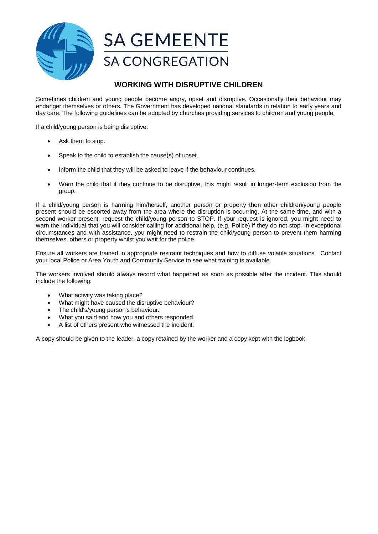

## **WORKING WITH DISRUPTIVE CHILDREN**

Sometimes children and young people become angry, upset and disruptive. Occasionally their behaviour may endanger themselves or others. The Government has developed national standards in relation to early years and day care. The following guidelines can be adopted by churches providing services to children and young people.

If a child/young person is being disruptive:

- Ask them to stop.
- Speak to the child to establish the cause(s) of upset.
- Inform the child that they will be asked to leave if the behaviour continues.
- Warn the child that if they continue to be disruptive, this might result in longer-term exclusion from the group.

If a child/young person is harming him/herself, another person or property then other children/young people present should be escorted away from the area where the disruption is occurring. At the same time, and with a second worker present, request the child/young person to STOP. If your request is ignored, you might need to warn the individual that you will consider calling for additional help, (e.g. Police) if they do not stop. In exceptional circumstances and with assistance, you might need to restrain the child/young person to prevent them harming themselves, others or property whilst you wait for the police.

Ensure all workers are trained in appropriate restraint techniques and how to diffuse volatile situations. Contact your local Police or Area Youth and Community Service to see what training is available.

The workers involved should always record what happened as soon as possible after the incident. This should include the following:

- What activity was taking place?
- What might have caused the disruptive behaviour?
- The child's/young person's behaviour.
- What you said and how you and others responded.
- A list of others present who witnessed the incident.

A copy should be given to the leader, a copy retained by the worker and a copy kept with the logbook.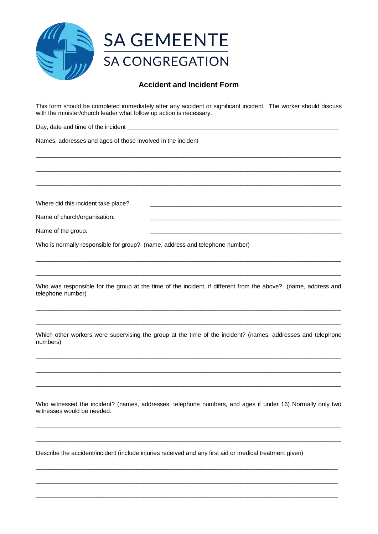

## **Accident and Incident Form**

This form should be completed immediately after any accident or significant incident. The worker should discuss with the minister/church leader what follow up action is necessary.

 $\_$  ,  $\_$  ,  $\_$  ,  $\_$  ,  $\_$  ,  $\_$  ,  $\_$  ,  $\_$  ,  $\_$  ,  $\_$  ,  $\_$  ,  $\_$  ,  $\_$  ,  $\_$  ,  $\_$  ,  $\_$  ,  $\_$  ,  $\_$  ,  $\_$  ,  $\_$  ,  $\_$  ,  $\_$  ,  $\_$  ,  $\_$  ,  $\_$  ,  $\_$  ,  $\_$  ,  $\_$  ,  $\_$  ,  $\_$  ,  $\_$  ,  $\_$  ,  $\_$  ,  $\_$  ,  $\_$  ,  $\_$  ,  $\_$  ,

 $\_$  ,  $\_$  ,  $\_$  ,  $\_$  ,  $\_$  ,  $\_$  ,  $\_$  ,  $\_$  ,  $\_$  ,  $\_$  ,  $\_$  ,  $\_$  ,  $\_$  ,  $\_$  ,  $\_$  ,  $\_$  ,  $\_$  ,  $\_$  ,  $\_$  ,  $\_$  ,  $\_$  ,  $\_$  ,  $\_$  ,  $\_$  ,  $\_$  ,  $\_$  ,  $\_$  ,  $\_$  ,  $\_$  ,  $\_$  ,  $\_$  ,  $\_$  ,  $\_$  ,  $\_$  ,  $\_$  ,  $\_$  ,  $\_$  ,

 $\_$  ,  $\_$  ,  $\_$  ,  $\_$  ,  $\_$  ,  $\_$  ,  $\_$  ,  $\_$  ,  $\_$  ,  $\_$  ,  $\_$  ,  $\_$  ,  $\_$  ,  $\_$  ,  $\_$  ,  $\_$  ,  $\_$  ,  $\_$  ,  $\_$  ,  $\_$  ,  $\_$  ,  $\_$  ,  $\_$  ,  $\_$  ,  $\_$  ,  $\_$  ,  $\_$  ,  $\_$  ,  $\_$  ,  $\_$  ,  $\_$  ,  $\_$  ,  $\_$  ,  $\_$  ,  $\_$  ,  $\_$  ,  $\_$  ,

Day, date and time of the incident \_\_\_\_\_\_\_\_\_\_\_\_\_\_\_\_\_\_\_\_\_\_\_\_\_\_\_\_\_\_\_\_\_\_\_\_\_\_\_\_\_\_\_\_\_\_\_\_\_\_\_\_\_\_\_\_\_\_\_\_\_\_\_

Names, addresses and ages of those involved in the incident

Where did this incident take place?

Name of church/organisation:

Name of the group:

Who is normally responsible for group? (name, address and telephone number)

Who was responsible for the group at the time of the incident, if different from the above? (name, address and telephone number)

 $\_$  ,  $\_$  ,  $\_$  ,  $\_$  ,  $\_$  ,  $\_$  ,  $\_$  ,  $\_$  ,  $\_$  ,  $\_$  ,  $\_$  ,  $\_$  ,  $\_$  ,  $\_$  ,  $\_$  ,  $\_$  ,  $\_$  ,  $\_$  ,  $\_$  ,  $\_$  ,  $\_$  ,  $\_$  ,  $\_$  ,  $\_$  ,  $\_$  ,  $\_$  ,  $\_$  ,  $\_$  ,  $\_$  ,  $\_$  ,  $\_$  ,  $\_$  ,  $\_$  ,  $\_$  ,  $\_$  ,  $\_$  ,  $\_$  ,

 $\_$  ,  $\_$  ,  $\_$  ,  $\_$  ,  $\_$  ,  $\_$  ,  $\_$  ,  $\_$  ,  $\_$  ,  $\_$  ,  $\_$  ,  $\_$  ,  $\_$  ,  $\_$  ,  $\_$  ,  $\_$  ,  $\_$  ,  $\_$  ,  $\_$  ,  $\_$  ,  $\_$  ,  $\_$  ,  $\_$  ,  $\_$  ,  $\_$  ,  $\_$  ,  $\_$  ,  $\_$  ,  $\_$  ,  $\_$  ,  $\_$  ,  $\_$  ,  $\_$  ,  $\_$  ,  $\_$  ,  $\_$  ,  $\_$  ,

 $\_$  ,  $\_$  ,  $\_$  ,  $\_$  ,  $\_$  ,  $\_$  ,  $\_$  ,  $\_$  ,  $\_$  ,  $\_$  ,  $\_$  ,  $\_$  ,  $\_$  ,  $\_$  ,  $\_$  ,  $\_$  ,  $\_$  ,  $\_$  ,  $\_$  ,  $\_$  ,  $\_$  ,  $\_$  ,  $\_$  ,  $\_$  ,  $\_$  ,  $\_$  ,  $\_$  ,  $\_$  ,  $\_$  ,  $\_$  ,  $\_$  ,  $\_$  ,  $\_$  ,  $\_$  ,  $\_$  ,  $\_$  ,  $\_$  ,

 $\_$  ,  $\_$  ,  $\_$  ,  $\_$  ,  $\_$  ,  $\_$  ,  $\_$  ,  $\_$  ,  $\_$  ,  $\_$  ,  $\_$  ,  $\_$  ,  $\_$  ,  $\_$  ,  $\_$  ,  $\_$  ,  $\_$  ,  $\_$  ,  $\_$  ,  $\_$  ,  $\_$  ,  $\_$  ,  $\_$  ,  $\_$  ,  $\_$  ,  $\_$  ,  $\_$  ,  $\_$  ,  $\_$  ,  $\_$  ,  $\_$  ,  $\_$  ,  $\_$  ,  $\_$  ,  $\_$  ,  $\_$  ,  $\_$  ,

Which other workers were supervising the group at the time of the incident? (names, addresses and telephone numbers)

 $\_$  ,  $\_$  ,  $\_$  ,  $\_$  ,  $\_$  ,  $\_$  ,  $\_$  ,  $\_$  ,  $\_$  ,  $\_$  ,  $\_$  ,  $\_$  ,  $\_$  ,  $\_$  ,  $\_$  ,  $\_$  ,  $\_$  ,  $\_$  ,  $\_$  ,  $\_$  ,  $\_$  ,  $\_$  ,  $\_$  ,  $\_$  ,  $\_$  ,  $\_$  ,  $\_$  ,  $\_$  ,  $\_$  ,  $\_$  ,  $\_$  ,  $\_$  ,  $\_$  ,  $\_$  ,  $\_$  ,  $\_$  ,  $\_$  ,

 $\_$  ,  $\_$  ,  $\_$  ,  $\_$  ,  $\_$  ,  $\_$  ,  $\_$  ,  $\_$  ,  $\_$  ,  $\_$  ,  $\_$  ,  $\_$  ,  $\_$  ,  $\_$  ,  $\_$  ,  $\_$  ,  $\_$  ,  $\_$  ,  $\_$  ,  $\_$  ,  $\_$  ,  $\_$  ,  $\_$  ,  $\_$  ,  $\_$  ,  $\_$  ,  $\_$  ,  $\_$  ,  $\_$  ,  $\_$  ,  $\_$  ,  $\_$  ,  $\_$  ,  $\_$  ,  $\_$  ,  $\_$  ,  $\_$  ,

 $\_$  ,  $\_$  ,  $\_$  ,  $\_$  ,  $\_$  ,  $\_$  ,  $\_$  ,  $\_$  ,  $\_$  ,  $\_$  ,  $\_$  ,  $\_$  ,  $\_$  ,  $\_$  ,  $\_$  ,  $\_$  ,  $\_$  ,  $\_$  ,  $\_$  ,  $\_$  ,  $\_$  ,  $\_$  ,  $\_$  ,  $\_$  ,  $\_$  ,  $\_$  ,  $\_$  ,  $\_$  ,  $\_$  ,  $\_$  ,  $\_$  ,  $\_$  ,  $\_$  ,  $\_$  ,  $\_$  ,  $\_$  ,  $\_$  ,

Who witnessed the incident? (names, addresses, telephone numbers, and ages if under 16) Normally only two witnesses would be needed.

 $\_$  , and the set of the set of the set of the set of the set of the set of the set of the set of the set of the set of the set of the set of the set of the set of the set of the set of the set of the set of the set of th

 $\_$  ,  $\_$  ,  $\_$  ,  $\_$  ,  $\_$  ,  $\_$  ,  $\_$  ,  $\_$  ,  $\_$  ,  $\_$  ,  $\_$  ,  $\_$  ,  $\_$  ,  $\_$  ,  $\_$  ,  $\_$  ,  $\_$  ,  $\_$  ,  $\_$  ,  $\_$  ,  $\_$  ,  $\_$  ,  $\_$  ,  $\_$  ,  $\_$  ,  $\_$  ,  $\_$  ,  $\_$  ,  $\_$  ,  $\_$  ,  $\_$  ,  $\_$  ,  $\_$  ,  $\_$  ,  $\_$  ,  $\_$  ,  $\_$  ,

 $\_$  ,  $\_$  ,  $\_$  ,  $\_$  ,  $\_$  ,  $\_$  ,  $\_$  ,  $\_$  ,  $\_$  ,  $\_$  ,  $\_$  ,  $\_$  ,  $\_$  ,  $\_$  ,  $\_$  ,  $\_$  ,  $\_$  ,  $\_$  ,  $\_$  ,  $\_$  ,  $\_$  ,  $\_$  ,  $\_$  ,  $\_$  ,  $\_$  ,  $\_$  ,  $\_$  ,  $\_$  ,  $\_$  ,  $\_$  ,  $\_$  ,  $\_$  ,  $\_$  ,  $\_$  ,  $\_$  ,  $\_$  ,  $\_$  ,

 $\_$  , and the set of the set of the set of the set of the set of the set of the set of the set of the set of the set of the set of the set of the set of the set of the set of the set of the set of the set of the set of th

 $\_$  , and the set of the set of the set of the set of the set of the set of the set of the set of the set of the set of the set of the set of the set of the set of the set of the set of the set of the set of the set of th

Describe the accident/incident (include injuries received and any first aid or medical treatment given)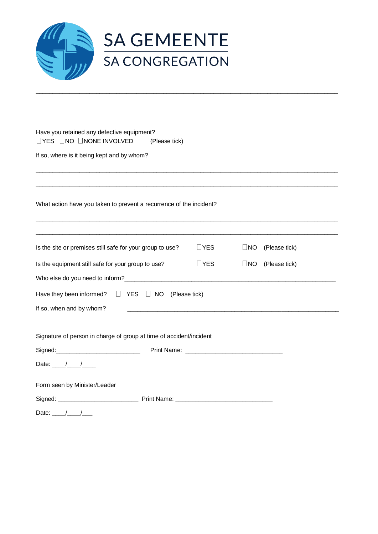

| Have you retained any defective equipment? |  |                                           |               |  |  |  |
|--------------------------------------------|--|-------------------------------------------|---------------|--|--|--|
|                                            |  | $\Box$ YES $\Box$ NO $\Box$ NONE INVOLVED | (Please tick) |  |  |  |

|  |  | If so, where is it being kept and by whom? |  |  |  |
|--|--|--------------------------------------------|--|--|--|
|  |  |                                            |  |  |  |

What action have you taken to prevent a recurrence of the incident?

| Is the site or premises still safe for your group to use?      | $\Box$ YES | $\sqcup$ No<br>(Please tick) |  |  |  |  |  |
|----------------------------------------------------------------|------------|------------------------------|--|--|--|--|--|
| Is the equipment still safe for your group to use?             | $\Box$ YES | $\sqcup$ No<br>(Please tick) |  |  |  |  |  |
| Who else do you need to inform?                                |            |                              |  |  |  |  |  |
| Have they been informed? $\Box$ YES $\Box$ NO<br>(Please tick) |            |                              |  |  |  |  |  |
| If so, when and by whom?                                       |            |                              |  |  |  |  |  |

 $\_$  , and the set of the set of the set of the set of the set of the set of the set of the set of the set of the set of the set of the set of the set of the set of the set of the set of the set of the set of the set of th

 $\_$  ,  $\_$  ,  $\_$  ,  $\_$  ,  $\_$  ,  $\_$  ,  $\_$  ,  $\_$  ,  $\_$  ,  $\_$  ,  $\_$  ,  $\_$  ,  $\_$  ,  $\_$  ,  $\_$  ,  $\_$  ,  $\_$  ,  $\_$  ,  $\_$  ,  $\_$  ,  $\_$  ,  $\_$  ,  $\_$  ,  $\_$  ,  $\_$  ,  $\_$  ,  $\_$  ,  $\_$  ,  $\_$  ,  $\_$  ,  $\_$  ,  $\_$  ,  $\_$  ,  $\_$  ,  $\_$  ,  $\_$  ,  $\_$  ,

 $\_$  , and the set of the set of the set of the set of the set of the set of the set of the set of the set of the set of the set of the set of the set of the set of the set of the set of the set of the set of the set of th

 $\_$  ,  $\_$  ,  $\_$  ,  $\_$  ,  $\_$  ,  $\_$  ,  $\_$  ,  $\_$  ,  $\_$  ,  $\_$  ,  $\_$  ,  $\_$  ,  $\_$  ,  $\_$  ,  $\_$  ,  $\_$  ,  $\_$  ,  $\_$  ,  $\_$  ,  $\_$  ,  $\_$  ,  $\_$  ,  $\_$  ,  $\_$  ,  $\_$  ,  $\_$  ,  $\_$  ,  $\_$  ,  $\_$  ,  $\_$  ,  $\_$  ,  $\_$  ,  $\_$  ,  $\_$  ,  $\_$  ,  $\_$  ,  $\_$  ,

 $\_$  ,  $\_$  ,  $\_$  ,  $\_$  ,  $\_$  ,  $\_$  ,  $\_$  ,  $\_$  ,  $\_$  ,  $\_$  ,  $\_$  ,  $\_$  ,  $\_$  ,  $\_$  ,  $\_$  ,  $\_$  ,  $\_$  ,  $\_$  ,  $\_$  ,  $\_$  ,  $\_$  ,  $\_$  ,  $\_$  ,  $\_$  ,  $\_$  ,  $\_$  ,  $\_$  ,  $\_$  ,  $\_$  ,  $\_$  ,  $\_$  ,  $\_$  ,  $\_$  ,  $\_$  ,  $\_$  ,  $\_$  ,  $\_$  ,

Signature of person in charge of group at time of accident/incident

| Date: $\frac{1}{\sqrt{2}}$   |  |
|------------------------------|--|
| Form seen by Minister/Leader |  |

Signed: \_\_\_\_\_\_\_\_\_\_\_\_\_\_\_\_\_\_\_\_\_\_\_\_ Print Name: \_\_\_\_\_\_\_\_\_\_\_\_\_\_\_\_\_\_\_\_\_\_\_\_\_\_\_\_\_

Date:  $\frac{1}{\sqrt{2\pi}}$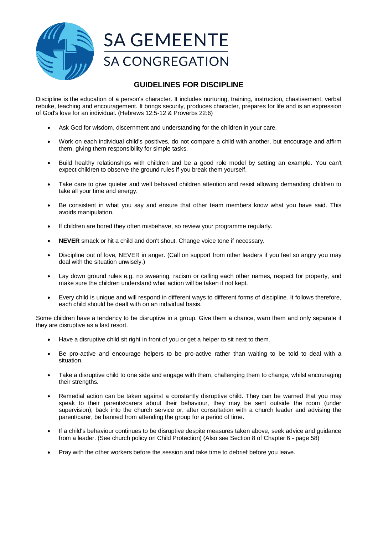

## **GUIDELINES FOR DISCIPLINE**

Discipline is the education of a person's character. It includes nurturing, training, instruction, chastisement, verbal rebuke, teaching and encouragement. It brings security, produces character, prepares for life and is an expression of God's love for an individual. (Hebrews 12:5-12 & Proverbs 22:6)

- Ask God for wisdom, discernment and understanding for the children in your care.
- Work on each individual child's positives, do not compare a child with another, but encourage and affirm them, giving them responsibility for simple tasks.
- Build healthy relationships with children and be a good role model by setting an example. You can't expect children to observe the ground rules if you break them yourself.
- Take care to give quieter and well behaved children attention and resist allowing demanding children to take all your time and energy.
- Be consistent in what you say and ensure that other team members know what you have said. This avoids manipulation.
- If children are bored they often misbehave, so review your programme regularly.
- **NEVER** smack or hit a child and don't shout. Change voice tone if necessary.
- Discipline out of love, NEVER in anger. (Call on support from other leaders if you feel so angry you may deal with the situation unwisely.)
- Lay down ground rules e.g. no swearing, racism or calling each other names, respect for property, and make sure the children understand what action will be taken if not kept.
- Every child is unique and will respond in different ways to different forms of discipline. It follows therefore, each child should be dealt with on an individual basis.

Some children have a tendency to be disruptive in a group. Give them a chance, warn them and only separate if they are disruptive as a last resort.

- Have a disruptive child sit right in front of you or get a helper to sit next to them.
- Be pro-active and encourage helpers to be pro-active rather than waiting to be told to deal with a situation.
- Take a disruptive child to one side and engage with them, challenging them to change, whilst encouraging their strengths.
- Remedial action can be taken against a constantly disruptive child. They can be warned that you may speak to their parents/carers about their behaviour, they may be sent outside the room (under supervision), back into the church service or, after consultation with a church leader and advising the parent/carer, be banned from attending the group for a period of time.
- If a child's behaviour continues to be disruptive despite measures taken above, seek advice and guidance from a leader. (See church policy on Child Protection) (Also see Section 8 of Chapter 6 - page 58)
- Pray with the other workers before the session and take time to debrief before you leave.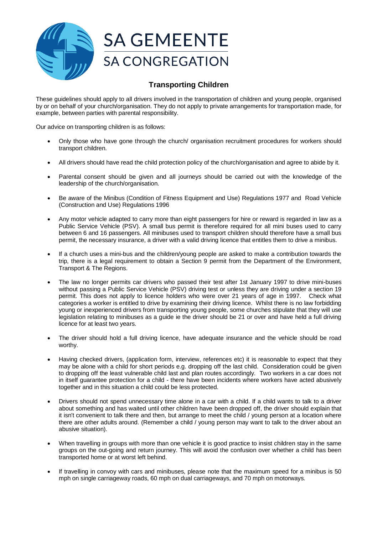

## **Transporting Children**

These guidelines should apply to all drivers involved in the transportation of children and young people, organised by or on behalf of your church/organisation. They do not apply to private arrangements for transportation made, for example, between parties with parental responsibility.

Our advice on transporting children is as follows:

- Only those who have gone through the church/ organisation recruitment procedures for workers should transport children.
- All drivers should have read the child protection policy of the church/organisation and agree to abide by it.
- Parental consent should be given and all journeys should be carried out with the knowledge of the leadership of the church/organisation.
- Be aware of the Minibus (Condition of Fitness Equipment and Use) Regulations 1977 and Road Vehicle (Construction and Use) Regulations 1996
- Any motor vehicle adapted to carry more than eight passengers for hire or reward is regarded in law as a Public Service Vehicle (PSV). A small bus permit is therefore required for all mini buses used to carry between 6 and 16 passengers. All minibuses used to transport children should therefore have a small bus permit, the necessary insurance, a driver with a valid driving licence that entitles them to drive a minibus.
- If a church uses a mini-bus and the children/young people are asked to make a contribution towards the trip, there is a legal requirement to obtain a Section 9 permit from the Department of the Environment, Transport & The Regions.
- The law no longer permits car drivers who passed their test after 1st January 1997 to drive mini-buses without passing a Public Service Vehicle (PSV) driving test or unless they are driving under a section 19 permit. This does not apply to licence holders who were over 21 years of age in 1997. Check what categories a worker is entitled to drive by examining their driving licence. Whilst there is no law forbidding young or inexperienced drivers from transporting young people, some churches stipulate that they will use legislation relating to minibuses as a guide ie the driver should be 21 or over and have held a full driving licence for at least two years.
- The driver should hold a full driving licence, have adequate insurance and the vehicle should be road worthy.
- Having checked drivers, (application form, interview, references etc) it is reasonable to expect that they may be alone with a child for short periods e.g. dropping off the last child. Consideration could be given to dropping off the least vulnerable child last and plan routes accordingly. Two workers in a car does not in itself guarantee protection for a child - there have been incidents where workers have acted abusively together and in this situation a child could be less protected.
- Drivers should not spend unnecessary time alone in a car with a child. If a child wants to talk to a driver about something and has waited until other children have been dropped off, the driver should explain that it isn't convenient to talk there and then, but arrange to meet the child / young person at a location where there are other adults around. (Remember a child / young person may want to talk to the driver about an abusive situation).
- When travelling in groups with more than one vehicle it is good practice to insist children stay in the same groups on the out-going and return journey. This will avoid the confusion over whether a child has been transported home or at worst left behind.
- If travelling in convoy with cars and minibuses, please note that the maximum speed for a minibus is 50 mph on single carriageway roads, 60 mph on dual carriageways, and 70 mph on motorways.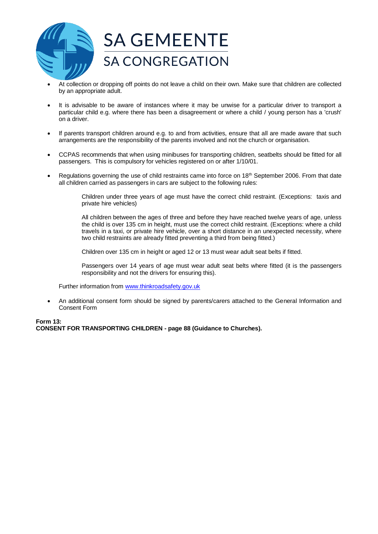

# **SA GEMEENTE SA CONGREGATION**

- At collection or dropping off points do not leave a child on their own. Make sure that children are collected by an appropriate adult.
- It is advisable to be aware of instances where it may be unwise for a particular driver to transport a particular child e.g. where there has been a disagreement or where a child / young person has a 'crush' on a driver.
- If parents transport children around e.g. to and from activities, ensure that all are made aware that such arrangements are the responsibility of the parents involved and not the church or organisation.
- CCPAS recommends that when using minibuses for transporting children, seatbelts should be fitted for all passengers. This is compulsory for vehicles registered on or after 1/10/01.
- Regulations governing the use of child restraints came into force on 18<sup>th</sup> September 2006. From that date all children carried as passengers in cars are subject to the following rules:

Children under three years of age must have the correct child restraint. (Exceptions: taxis and private hire vehicles)

All children between the ages of three and before they have reached twelve years of age, unless the child is over 135 cm in height, must use the correct child restraint. (Exceptions: where a child travels in a taxi, or private hire vehicle, over a short distance in an unexpected necessity, where two child restraints are already fitted preventing a third from being fitted.)

Children over 135 cm in height or aged 12 or 13 must wear adult seat belts if fitted.

Passengers over 14 years of age must wear adult seat belts where fitted (it is the passengers responsibility and not the drivers for ensuring this).

Further information from [www.thinkroadsafety.gov.uk](http://www.thinkroadsafety.gov.uk/)

• An additional consent form should be signed by parents/carers attached to the General Information and Consent Form

## **Form 13:**

**CONSENT FOR TRANSPORTING CHILDREN - page 88 (Guidance to Churches).**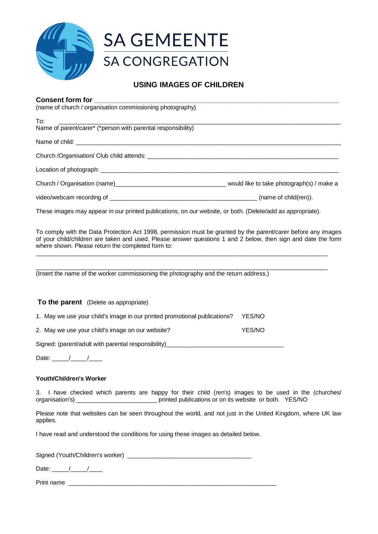

# **SA GEMEENTE SA CONGREGATION**

## **USING IMAGES OF CHILDREN**

## **Consent form for \_\_\_\_\_\_\_\_\_\_\_\_\_\_\_\_\_\_\_\_\_\_\_\_\_\_\_\_\_\_\_\_\_\_\_\_\_\_\_\_\_\_\_\_\_\_\_\_\_\_\_\_\_\_\_\_\_\_\_\_\_\_\_\_\_\_\_\_\_\_\_\_\_**

(name of church / organisation commissioning photography)

To: \_\_\_\_\_\_\_\_\_\_\_\_\_\_\_\_\_\_\_\_\_\_\_\_\_\_\_\_\_\_\_\_\_\_\_\_\_\_\_\_\_\_\_\_\_\_\_\_\_\_\_\_\_\_\_\_\_\_\_\_\_\_\_\_\_\_\_\_\_\_\_\_\_\_\_\_\_\_\_\_\_\_\_\_

Name of parent/carer\* (\*person with parental responsibility)

Name of child:

Church /Organisation/ Club child attends: \_\_\_\_\_\_\_\_\_\_\_\_\_\_\_\_\_\_\_\_\_\_\_\_\_\_\_\_\_\_\_\_\_\_\_\_\_\_\_\_\_\_\_\_\_\_\_\_\_\_\_\_\_\_\_\_\_

Location of photograph: \_\_\_\_\_\_\_\_\_\_\_\_\_\_\_\_\_\_\_\_\_\_\_\_\_\_\_\_\_\_\_\_\_\_\_\_\_\_\_\_\_\_\_\_\_\_\_\_\_\_\_\_\_\_\_\_\_\_\_\_\_\_\_\_\_\_\_\_\_\_\_

Church / Organisation (name)\_\_\_\_\_\_\_\_\_\_\_\_\_\_\_\_\_\_\_\_\_\_\_\_\_\_\_\_\_\_\_\_\_ would like to take photograph(s) / make a

video/webcam recording of \_\_\_\_\_\_\_\_\_\_\_\_\_\_\_\_\_\_\_\_\_\_\_\_\_\_\_\_\_\_\_\_\_\_\_\_\_\_\_\_\_\_\_\_ (name of child(ren)).

These images may appear in our printed publications, on our website, or both. (Delete/add as appropriate).

To comply with the Data Protection Act 1998, permission must be granted by the parent/carer before any images of your child/children are taken and used. Please answer questions 1 and 2 below, then sign and date the form where shown. Please return the completed form to:

 $\_$  ,  $\_$  ,  $\_$  ,  $\_$  ,  $\_$  ,  $\_$  ,  $\_$  ,  $\_$  ,  $\_$  ,  $\_$  ,  $\_$  ,  $\_$  ,  $\_$  ,  $\_$  ,  $\_$  ,  $\_$  ,  $\_$  ,  $\_$  ,  $\_$  ,  $\_$  ,  $\_$  ,  $\_$  ,  $\_$  ,  $\_$  ,  $\_$  ,  $\_$  ,  $\_$  ,  $\_$  ,  $\_$  ,  $\_$  ,  $\_$  ,  $\_$  ,  $\_$  ,  $\_$  ,  $\_$  ,  $\_$  ,  $\_$  ,

 $\_$  ,  $\_$  ,  $\_$  ,  $\_$  ,  $\_$  ,  $\_$  ,  $\_$  ,  $\_$  ,  $\_$  ,  $\_$  ,  $\_$  ,  $\_$  ,  $\_$  ,  $\_$  ,  $\_$  ,  $\_$  ,  $\_$  ,  $\_$  ,  $\_$  ,  $\_$  ,  $\_$  ,  $\_$  ,  $\_$  ,  $\_$  ,  $\_$  ,  $\_$  ,  $\_$  ,  $\_$  ,  $\_$  ,  $\_$  ,  $\_$  ,  $\_$  ,  $\_$  ,  $\_$  ,  $\_$  ,  $\_$  ,  $\_$  , (Insert the name of the worker commissioning the photography and the return address.)

## **To the parent** (Delete as appropriate)

|  | 1. May we use your child's image in our printed promotional publications? YES/NO |  |  |
|--|----------------------------------------------------------------------------------|--|--|
|  |                                                                                  |  |  |

2. May we use your child's image on our website? YES/NO

Signed: (parent/adult with parental responsibility)\_\_\_\_\_\_\_\_\_\_\_\_\_\_\_\_\_\_\_\_\_\_\_\_\_\_\_\_\_\_

Date:  $/$  /

## **Youth/Children's Worker**

3. I have checked which parents are happy for their child (ren's) images to be used in the (churches/ organisation's) \_\_\_\_\_\_\_\_\_\_\_\_\_\_\_\_\_\_\_\_\_\_\_\_ printed publications or on its website or both. YES/NO

Please note that websites can be seen throughout the world, and not just in the United Kingdom, where UK law applies.

I have read and understood the conditions for using these images as detailed below.

Signed (Youth/Children's worker)

Date:  $/$  /

Print name \_\_\_\_\_\_\_\_\_\_\_\_\_\_\_\_\_\_\_\_\_\_\_\_\_\_\_\_\_\_\_\_\_\_\_\_\_\_\_\_\_\_\_\_\_\_\_\_\_\_\_\_\_\_\_\_\_\_\_\_\_\_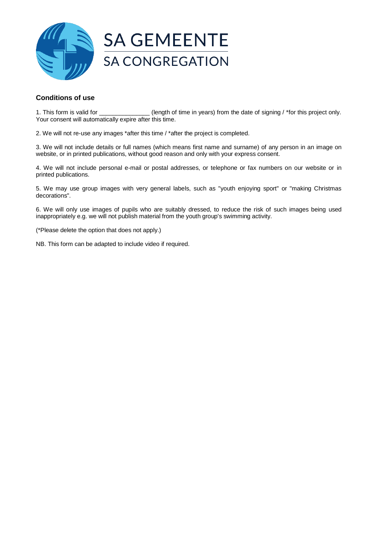

## **Conditions of use**

1. This form is valid for \_\_\_\_\_\_\_\_\_\_\_\_\_\_\_(length of time in years) from the date of signing / \*for this project only. Your consent will automatically expire after this time.

2. We will not re-use any images \*after this time / \*after the project is completed.

3. We will not include details or full names (which means first name and surname) of any person in an image on website, or in printed publications, without good reason and only with your express consent.

4. We will not include personal e-mail or postal addresses, or telephone or fax numbers on our website or in printed publications.

5. We may use group images with very general labels, such as "youth enjoying sport" or "making Christmas decorations".

6. We will only use images of pupils who are suitably dressed, to reduce the risk of such images being used inappropriately e.g. we will not publish material from the youth group's swimming activity.

(\*Please delete the option that does not apply.)

NB. This form can be adapted to include video if required.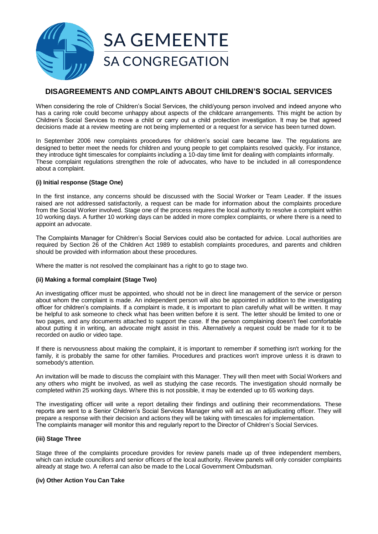

## **DISAGREEMENTS AND COMPLAINTS ABOUT CHILDREN'S SOCIAL SERVICES**

When considering the role of Children's Social Services, the child/young person involved and indeed anyone who has a caring role could become unhappy about aspects of the childcare arrangements. This might be action by Children's Social Services to move a child or carry out a child protection investigation. It may be that agreed decisions made at a review meeting are not being implemented or a request for a service has been turned down.

In September 2006 new complaints procedures for children's social care became law. The regulations are designed to better meet the needs for children and young people to get complaints resolved quickly. For instance, they introduce tight timescales for complaints including a 10-day time limit for dealing with complaints informally. These complaint regulations strengthen the role of advocates, who have to be included in all correspondence about a complaint.

#### **(i) Initial response (Stage One)**

In the first instance, any concerns should be discussed with the Social Worker or Team Leader. If the issues raised are not addressed satisfactorily, a request can be made for information about the complaints procedure from the Social Worker involved. Stage one of the process requires the local authority to resolve a complaint within 10 working days. A further 10 working days can be added in more complex complaints, or where there is a need to appoint an advocate.

The Complaints Manager for Children's Social Services could also be contacted for advice. Local authorities are required by Section 26 of the Children Act 1989 to establish complaints procedures, and parents and children should be provided with information about these procedures.

Where the matter is not resolved the complainant has a right to go to stage two.

#### **(ii) Making a formal complaint (Stage Two)**

An investigating officer must be appointed, who should not be in direct line management of the service or person about whom the complaint is made. An independent person will also be appointed in addition to the investigating officer for children's complaints. If a complaint is made, it is important to plan carefully what will be written. It may be helpful to ask someone to check what has been written before it is sent. The letter should be limited to one or two pages, and any documents attached to support the case. If the person complaining doesn't feel comfortable about putting it in writing, an advocate might assist in this. Alternatively a request could be made for it to be recorded on audio or video tape.

If there is nervousness about making the complaint, it is important to remember if something isn't working for the family, it is probably the same for other families. Procedures and practices won't improve unless it is drawn to somebody's attention.

An invitation will be made to discuss the complaint with this Manager. They will then meet with Social Workers and any others who might be involved, as well as studying the case records. The investigation should normally be completed within 25 working days. Where this is not possible, it may be extended up to 65 working days.

The investigating officer will write a report detailing their findings and outlining their recommendations. These reports are sent to a Senior Children's Social Services Manager who will act as an adjudicating officer. They will prepare a response with their decision and actions they will be taking with timescales for implementation. The complaints manager will monitor this and regularly report to the Director of Children's Social Services.

#### **(iii) Stage Three**

Stage three of the complaints procedure provides for review panels made up of three independent members, which can include councillors and senior officers of the local authority. Review panels will only consider complaints already at stage two. A referral can also be made to the Local Government Ombudsman.

#### **(iv) Other Action You Can Take**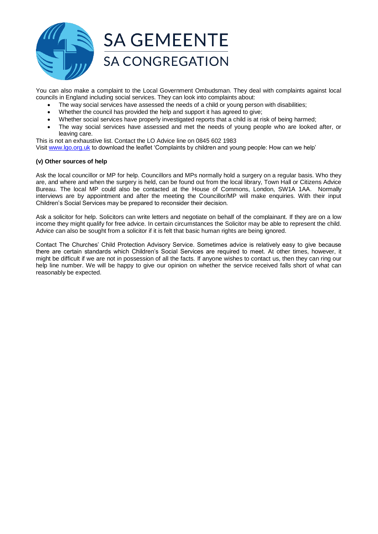

You can also make a complaint to the Local Government Ombudsman. They deal with complaints against local councils in England including social services. They can look into complaints about:

- The way social services have assessed the needs of a child or young person with disabilities;
- Whether the council has provided the help and support it has agreed to give;
- Whether social services have properly investigated reports that a child is at risk of being harmed;
- The way social services have assessed and met the needs of young people who are looked after, or leaving care.

This is not an exhaustive list. Contact the LO Advice line on 0845 602 1983

Visit [www.lgo.org.uk](http://www.lgo.org.uk/) to download the leaflet 'Complaints by children and young people: How can we help'

#### **(v) Other sources of help**

Ask the local councillor or MP for help. Councillors and MPs normally hold a surgery on a regular basis. Who they are, and where and when the surgery is held, can be found out from the local library, Town Hall or Citizens Advice Bureau. The local MP could also be contacted at the House of Commons, London, SW1A 1AA. Normally interviews are by appointment and after the meeting the Councillor/MP will make enquiries. With their input Children's Social Services may be prepared to reconsider their decision.

Ask a solicitor for help. Solicitors can write letters and negotiate on behalf of the complainant. If they are on a low income they might qualify for free advice. In certain circumstances the Solicitor may be able to represent the child. Advice can also be sought from a solicitor if it is felt that basic human rights are being ignored.

Contact The Churches' Child Protection Advisory Service. Sometimes advice is relatively easy to give because there are certain standards which Children's Social Services are required to meet. At other times, however, it might be difficult if we are not in possession of all the facts. If anyone wishes to contact us, then they can ring our help line number. We will be happy to give our opinion on whether the service received falls short of what can reasonably be expected.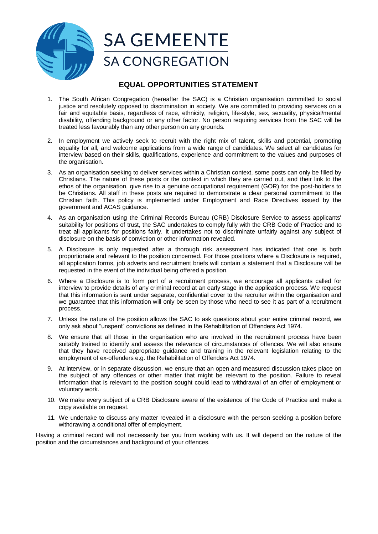

## **EQUAL OPPORTUNITIES STATEMENT**

- 1. The South African Congregation (hereafter the SAC) is a Christian organisation committed to social justice and resolutely opposed to discrimination in society. We are committed to providing services on a fair and equitable basis, regardless of race, ethnicity, religion, life-style, sex, sexuality, physical/mental disability, offending background or any other factor. No person requiring services from the SAC will be treated less favourably than any other person on any grounds.
- 2. In employment we actively seek to recruit with the right mix of talent, skills and potential, promoting equality for all, and welcome applications from a wide range of candidates. We select all candidates for interview based on their skills, qualifications, experience and commitment to the values and purposes of the organisation.
- 3. As an organisation seeking to deliver services within a Christian context, some posts can only be filled by Christians. The nature of these posts or the context in which they are carried out, and their link to the ethos of the organisation, give rise to a genuine occupational requirement (GOR) for the post-holders to be Christians. All staff in these posts are required to demonstrate a clear personal commitment to the Christian faith. This policy is implemented under Employment and Race Directives issued by the government and ACAS guidance.
- 4. As an organisation using the Criminal Records Bureau (CRB) Disclosure Service to assess applicants' suitability for positions of trust, the SAC undertakes to comply fully with the CRB Code of Practice and to treat all applicants for positions fairly. It undertakes not to discriminate unfairly against any subject of disclosure on the basis of conviction or other information revealed.
- 5. A Disclosure is only requested after a thorough risk assessment has indicated that one is both proportionate and relevant to the position concerned. For those positions where a Disclosure is required, all application forms, job adverts and recruitment briefs will contain a statement that a Disclosure will be requested in the event of the individual being offered a position.
- 6. Where a Disclosure is to form part of a recruitment process, we encourage all applicants called for interview to provide details of any criminal record at an early stage in the application process. We request that this information is sent under separate, confidential cover to the recruiter within the organisation and we guarantee that this information will only be seen by those who need to see it as part of a recruitment process.
- 7. Unless the nature of the position allows the SAC to ask questions about your entire criminal record, we only ask about "unspent" convictions as defined in the Rehabilitation of Offenders Act 1974.
- 8. We ensure that all those in the organisation who are involved in the recruitment process have been suitably trained to identify and assess the relevance of circumstances of offences. We will also ensure that they have received appropriate guidance and training in the relevant legislation relating to the employment of ex-offenders e.g. the Rehabilitation of Offenders Act 1974.
- 9. At interview, or in separate discussion, we ensure that an open and measured discussion takes place on the subject of any offences or other matter that might be relevant to the position. Failure to reveal information that is relevant to the position sought could lead to withdrawal of an offer of employment or voluntary work.
- 10. We make every subject of a CRB Disclosure aware of the existence of the Code of Practice and make a copy available on request.
- 11. We undertake to discuss any matter revealed in a disclosure with the person seeking a position before withdrawing a conditional offer of employment.

Having a criminal record will not necessarily bar you from working with us. It will depend on the nature of the position and the circumstances and background of your offences.